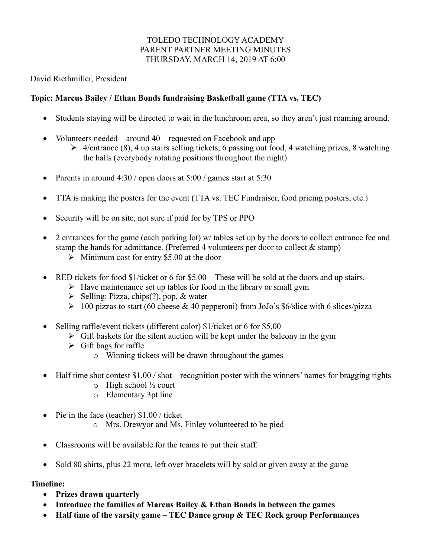# TOLEDO TECHNOLOGY ACADEMY PARENT PARTNER MEETING MINUTES THURSDAY, MARCH 14, 2019 AT 6:00

David Riethmiller, President

# **Topic: Marcus Bailey / Ethan Bonds fundraising Basketball game (TTA vs. TEC)**

- Students staying will be directed to wait in the lunchroom area, so they aren't just roaming around.
- Volunteers needed around  $40$  requested on Facebook and app
	- $\triangleright$  4/entrance (8), 4 up stairs selling tickets, 6 passing out food, 4 watching prizes, 8 watching the halls (everybody rotating positions throughout the night)
- Parents in around  $4:30/$  open doors at  $5:00/$  games start at  $5:30$
- TTA is making the posters for the event (TTA vs. TEC Fundraiser, food pricing posters, etc.)
- Security will be on site, not sure if paid for by TPS or PPO
- 2 entrances for the game (each parking lot) w/ tables set up by the doors to collect entrance fee and stamp the hands for admittance. (Preferred 4 volunteers per door to collect  $\&$  stamp)
	- $\triangleright$  Minimum cost for entry \$5.00 at the door
- RED tickets for food  $$1/ticket$  or 6 for  $$5.00 These$  will be sold at the doors and up stairs.
	- $\triangleright$  Have maintenance set up tables for food in the library or small gym
		- $\triangleright$  Selling: Pizza, chips(?), pop, & water
		- $\geq 100$  pizzas to start (60 cheese & 40 pepperoni) from JoJo's \$6/slice with 6 slices/pizza
- Selling raffle/event tickets (different color) \$1/ticket or 6 for \$5.00
	- $\triangleright$  Gift baskets for the silent auction will be kept under the balcony in the gym
	- $\triangleright$  Gift bags for raffle
		- o Winning tickets will be drawn throughout the games
- Half time shot contest  $$1.00 /$  shot recognition poster with the winners' names for bragging rights
	- $\circ$  High school  $\frac{1}{2}$  court
	- o Elementary 3pt line
- Pie in the face (teacher) \$1.00 / ticket
	- o Mrs. Drewyor and Ms. Finley volunteered to be pied
- Classrooms will be available for the teams to put their stuff.
- Sold 80 shirts, plus 22 more, left over bracelets will by sold or given away at the game

# **Timeline:**

- **Prizes drawn quarterly**
- **Introduce the families of Marcus Bailey & Ethan Bonds in between the games**
- **Half time of the varsity game – TEC Dance group & TEC Rock group Performances**